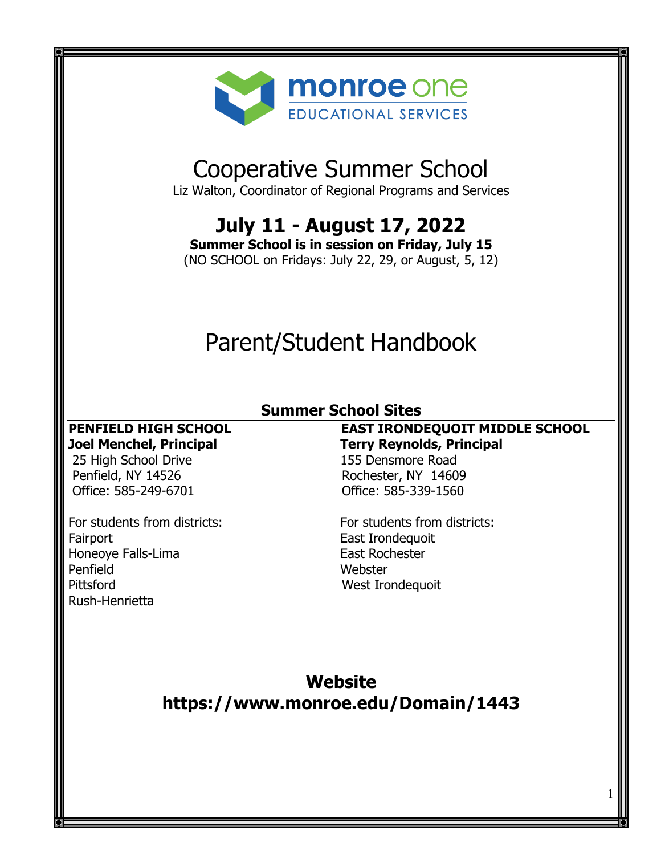

# Cooperative Summer School

Liz Walton, Coordinator of Regional Programs and Services

# **July 11 - August 17, 2022**

**Summer School is in session on Friday, July 15**

(NO SCHOOL on Fridays: July 22, 29, or August, 5, 12)

# Parent/Student Handbook

# **Summer School Sites**

25 High School Drive<br>
Penfield, NY 14526<br>
Penfield, NY 14526<br>
Consumer Rochester, NY 1460 Office: 585-249-6701 Office: 585-339-1560

For students from districts:<br>
For students from districts: Fairport<br>
Honeove Falls-Lima<br>
Honeove Falls-Lima Honeoye Falls-Lima Penfield<br>Pittsford Webster (Webster Music Mexic Music Music Music Music Music Music Music Music Music Music Music Music<br>Music Music Music Music Music Music Music Music Music Music Music Music Music Music Music Music Music Rush-Henrietta

**PENFIELD HIGH SCHOOL EAST IRONDEQUOIT MIDDLE SCHOOL Joel Menchel, Principal Terry Reynolds, Principal** Rochester, NY 14609

West Irondequoit

# **Website https://www.monroe.edu/Domain/1443**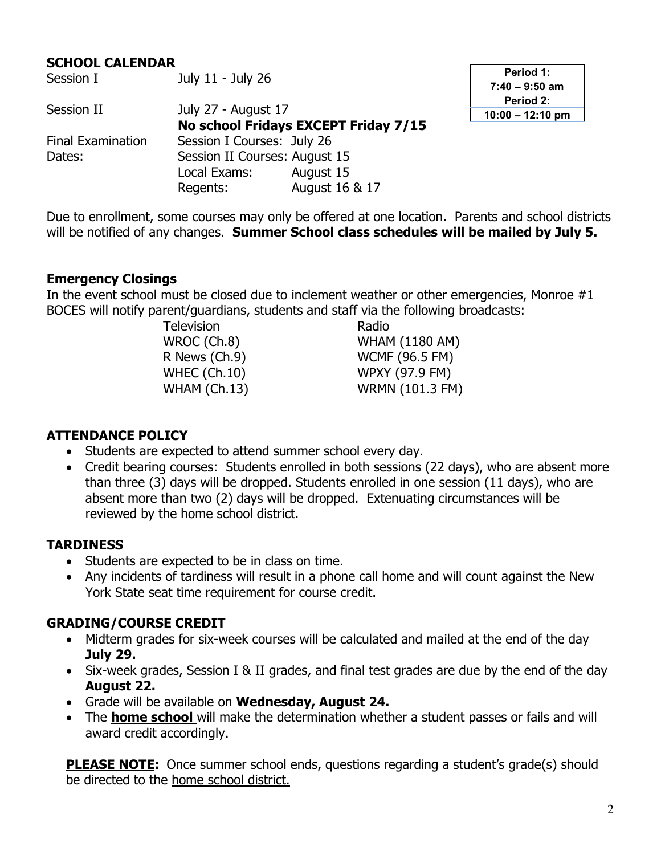# **SCHOOL CALENDAR**<br>Session I

| <b>JESSIUIT</b>          | <b>JUILE - JUILE CO</b>              |                |  |
|--------------------------|--------------------------------------|----------------|--|
| Session II               | July 27 - August 17                  |                |  |
|                          | No school Fridays EXCEPT Friday 7/15 |                |  |
| <b>Final Examination</b> | Session I Courses: July 26           |                |  |
| Dates:                   | Session II Courses: August 15        |                |  |
|                          | Local Exams:                         | August 15      |  |
|                          | Regents:                             | August 16 & 17 |  |

 $Jub/11 - Jub/26$ 

**Period 1: 7:40 – 9:50 am Period 2: 10:00 – 12:10 pm**

Due to enrollment, some courses may only be offered at one location. Parents and school districts will be notified of any changes. **Summer School class schedules will be mailed by July 5.** 

#### **Emergency Closings**

In the event school must be closed due to inclement weather or other emergencies, Monroe #1 BOCES will notify parent/guardians, students and staff via the following broadcasts:

Television Radio

WROC (Ch.8) WHAM (1180 AM)<br>R News (Ch.9) WCMF (96.5 FM) **WCMF (96.5 FM)** WHEC (Ch.10) WPXY (97.9 FM) WHAM (Ch.13) WRMN (101.3 FM)

#### **ATTENDANCE POLICY**

- Students are expected to attend summer school every day.
- Credit bearing courses: Students enrolled in both sessions (22 days), who are absent more than three (3) days will be dropped. Students enrolled in one session (11 days), who are absent more than two (2) days will be dropped. Extenuating circumstances will be reviewed by the home school district.

## **TARDINESS**

- Students are expected to be in class on time.
- Any incidents of tardiness will result in a phone call home and will count against the New York State seat time requirement for course credit.

## **GRADING/COURSE CREDIT**

- Midterm grades for six-week courses will be calculated and mailed at the end of the day **July 29.**
- Six-week grades, Session I & II grades, and final test grades are due by the end of the day **August 22.**
- Grade will be available on **Wednesday, August 24.**
- The **home school** will make the determination whether a student passes or fails and will award credit accordingly.

**PLEASE NOTE:** Once summer school ends, questions regarding a student's grade(s) should be directed to the home school district.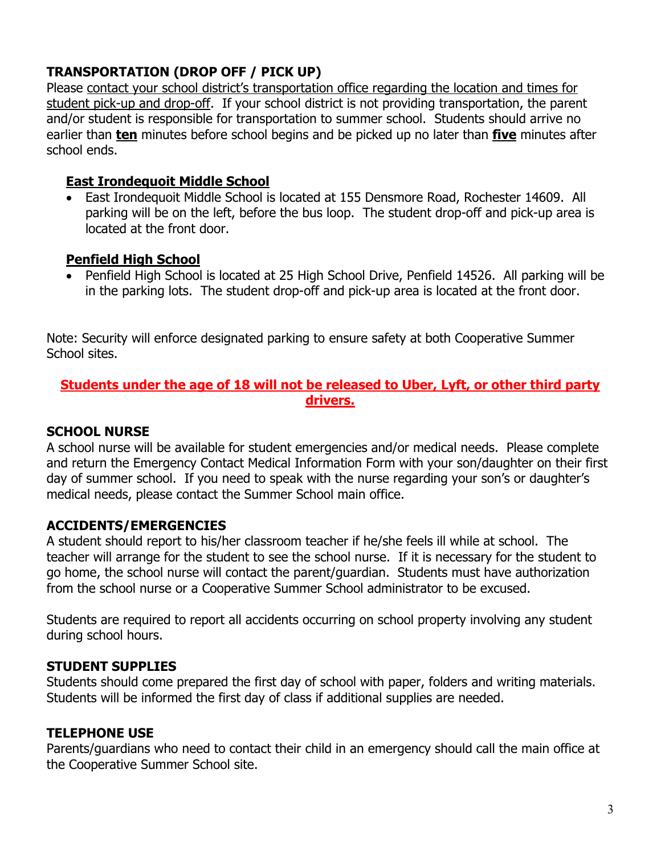# **TRANSPORTATION (DROP OFF / PICK UP)**

Please contact your school district's transportation office regarding the location and times for student pick-up and drop-off. If your school district is not providing transportation, the parent and/or student is responsible for transportation to summer school. Students should arrive no earlier than **ten** minutes before school begins and be picked up no later than **five** minutes after school ends.

#### **East Irondequoit Middle School**

• East Irondequoit Middle School is located at 155 Densmore Road, Rochester 14609. All parking will be on the left, before the bus loop. The student drop-off and pick-up area is located at the front door.

#### **Penfield High School**

• Penfield High School is located at 25 High School Drive, Penfield 14526. All parking will be in the parking lots. The student drop-off and pick-up area is located at the front door.

Note: Security will enforce designated parking to ensure safety at both Cooperative Summer School sites.

#### **Students under the age of 18 will not be released to Uber, Lyft, or other third party drivers.**

## **SCHOOL NURSE**

A school nurse will be available for student emergencies and/or medical needs. Please complete and return the Emergency Contact Medical Information Form with your son/daughter on their first day of summer school. If you need to speak with the nurse regarding your son's or daughter's medical needs, please contact the Summer School main office.

## **ACCIDENTS/EMERGENCIES**

A student should report to his/her classroom teacher if he/she feels ill while at school. The teacher will arrange for the student to see the school nurse. If it is necessary for the student to go home, the school nurse will contact the parent/guardian. Students must have authorization from the school nurse or a Cooperative Summer School administrator to be excused.

Students are required to report all accidents occurring on school property involving any student during school hours.

## **STUDENT SUPPLIES**

Students should come prepared the first day of school with paper, folders and writing materials. Students will be informed the first day of class if additional supplies are needed.

## **TELEPHONE USE**

Parents/guardians who need to contact their child in an emergency should call the main office at the Cooperative Summer School site.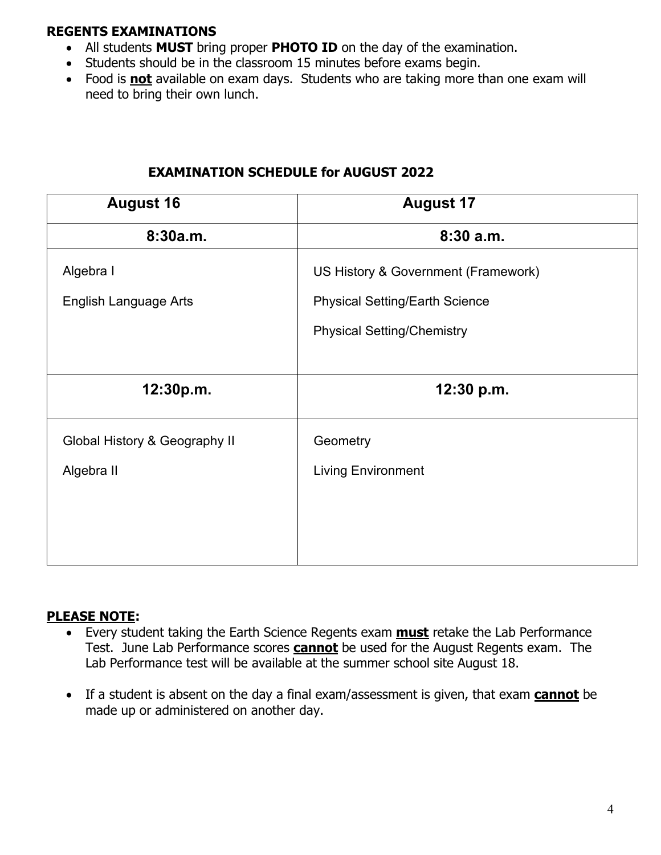## **REGENTS EXAMINATIONS**

- All students **MUST** bring proper **PHOTO ID** on the day of the examination.
- Students should be in the classroom 15 minutes before exams begin.
- Food is **not** available on exam days. Students who are taking more than one exam will need to bring their own lunch.

| <b>August 16</b>              | <b>August 17</b>                      |  |
|-------------------------------|---------------------------------------|--|
| 8:30a.m.                      | 8:30a.m.                              |  |
| Algebra I                     | US History & Government (Framework)   |  |
| <b>English Language Arts</b>  | <b>Physical Setting/Earth Science</b> |  |
|                               | <b>Physical Setting/Chemistry</b>     |  |
|                               |                                       |  |
| 12:30p.m.                     | 12:30 p.m.                            |  |
| Global History & Geography II | Geometry                              |  |
| Algebra II                    | <b>Living Environment</b>             |  |
|                               |                                       |  |
|                               |                                       |  |
|                               |                                       |  |

# **EXAMINATION SCHEDULE for AUGUST 2022**

## **PLEASE NOTE:**

- Every student taking the Earth Science Regents exam **must** retake the Lab Performance Test. June Lab Performance scores **cannot** be used for the August Regents exam. The Lab Performance test will be available at the summer school site August 18.
- If a student is absent on the day a final exam/assessment is given, that exam **cannot** be made up or administered on another day.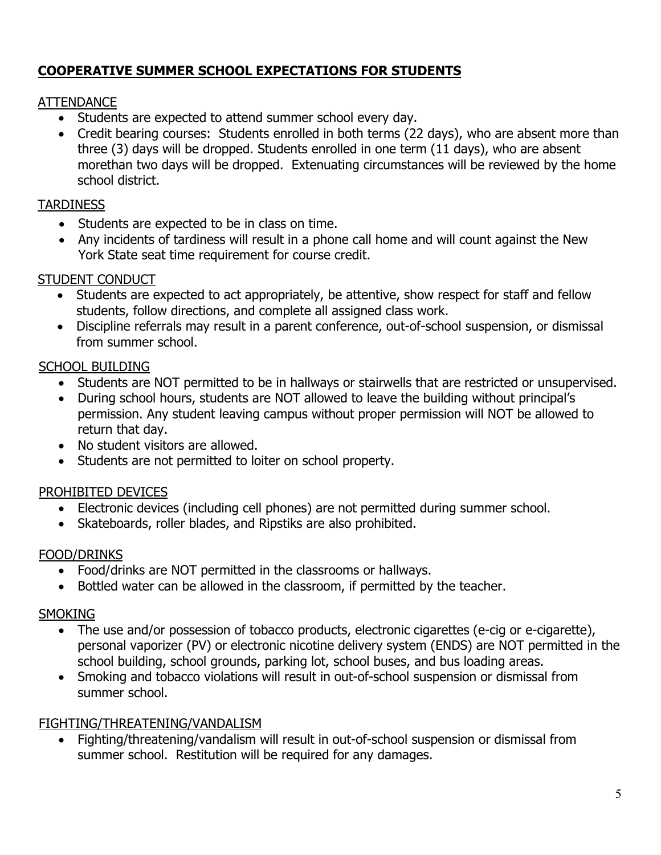# **COOPERATIVE SUMMER SCHOOL EXPECTATIONS FOR STUDENTS**

## ATTENDANCE

- Students are expected to attend summer school every day.
- Credit bearing courses: Students enrolled in both terms (22 days), who are absent more than three (3) days will be dropped. Students enrolled in one term (11 days), who are absent morethan two days will be dropped. Extenuating circumstances will be reviewed by the home school district.

# **TARDINESS**

- Students are expected to be in class on time.
- Any incidents of tardiness will result in a phone call home and will count against the New York State seat time requirement for course credit.

# STUDENT CONDUCT

- Students are expected to act appropriately, be attentive, show respect for staff and fellow students, follow directions, and complete all assigned class work.
- Discipline referrals may result in a parent conference, out-of-school suspension, or dismissal from summer school.

# SCHOOL BUILDING

- Students are NOT permitted to be in hallways or stairwells that are restricted or unsupervised.
- During school hours, students are NOT allowed to leave the building without principal's permission. Any student leaving campus without proper permission will NOT be allowed to return that day.
- No student visitors are allowed.
- Students are not permitted to loiter on school property.

# PROHIBITED DEVICES

- Electronic devices (including cell phones) are not permitted during summer school.
- Skateboards, roller blades, and Ripstiks are also prohibited.

## FOOD/DRINKS

- Food/drinks are NOT permitted in the classrooms or hallways.
- Bottled water can be allowed in the classroom, if permitted by the teacher.

## **SMOKING**

- The use and/or possession of tobacco products, electronic cigarettes (e-cig or e-cigarette), personal vaporizer (PV) or electronic nicotine delivery system (ENDS) are NOT permitted in the school building, school grounds, parking lot, school buses, and bus loading areas.
- Smoking and tobacco violations will result in out-of-school suspension or dismissal from summer school.

## FIGHTING/THREATENING/VANDALISM

• Fighting/threatening/vandalism will result in out-of-school suspension or dismissal from summer school. Restitution will be required for any damages.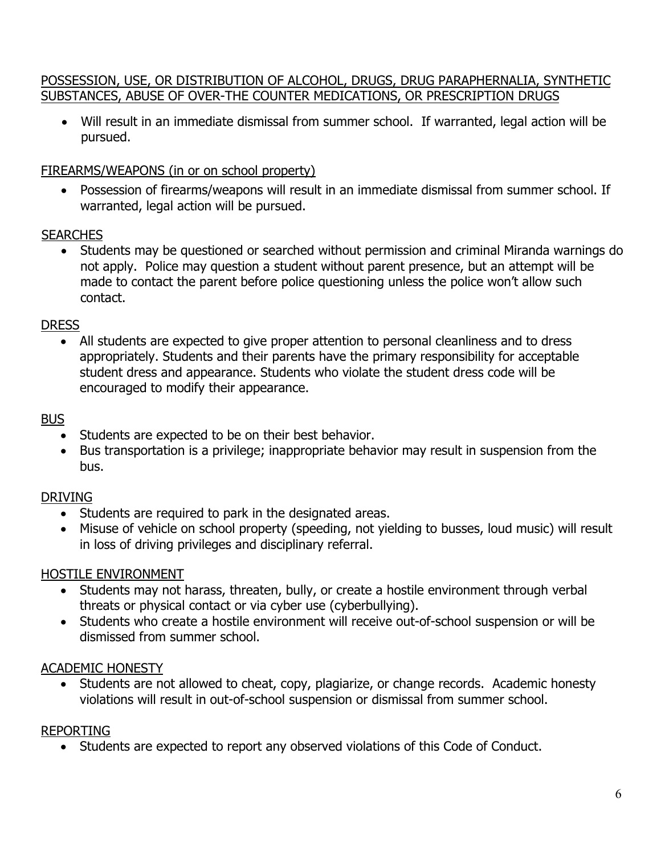#### POSSESSION, USE, OR DISTRIBUTION OF ALCOHOL, DRUGS, DRUG PARAPHERNALIA, SYNTHETIC SUBSTANCES, ABUSE OF OVER-THE COUNTER MEDICATIONS, OR PRESCRIPTION DRUGS

• Will result in an immediate dismissal from summer school. If warranted, legal action will be pursued.

#### FIREARMS/WEAPONS (in or on school property)

• Possession of firearms/weapons will result in an immediate dismissal from summer school. If warranted, legal action will be pursued.

#### **SEARCHES**

• Students may be questioned or searched without permission and criminal Miranda warnings do not apply. Police may question a student without parent presence, but an attempt will be made to contact the parent before police questioning unless the police won't allow such contact.

#### **DRESS**

• All students are expected to give proper attention to personal cleanliness and to dress appropriately. Students and their parents have the primary responsibility for acceptable student dress and appearance. Students who violate the student dress code will be encouraged to modify their appearance.

#### BUS

- Students are expected to be on their best behavior.
- Bus transportation is a privilege; inappropriate behavior may result in suspension from the bus.

## DRIVING

- Students are required to park in the designated areas.
- Misuse of vehicle on school property (speeding, not yielding to busses, loud music) will result in loss of driving privileges and disciplinary referral.

## HOSTILE ENVIRONMENT

- Students may not harass, threaten, bully, or create a hostile environment through verbal threats or physical contact or via cyber use (cyberbullying).
- Students who create a hostile environment will receive out-of-school suspension or will be dismissed from summer school.

#### ACADEMIC HONESTY

• Students are not allowed to cheat, copy, plagiarize, or change records. Academic honesty violations will result in out-of-school suspension or dismissal from summer school.

#### REPORTING

• Students are expected to report any observed violations of this Code of Conduct.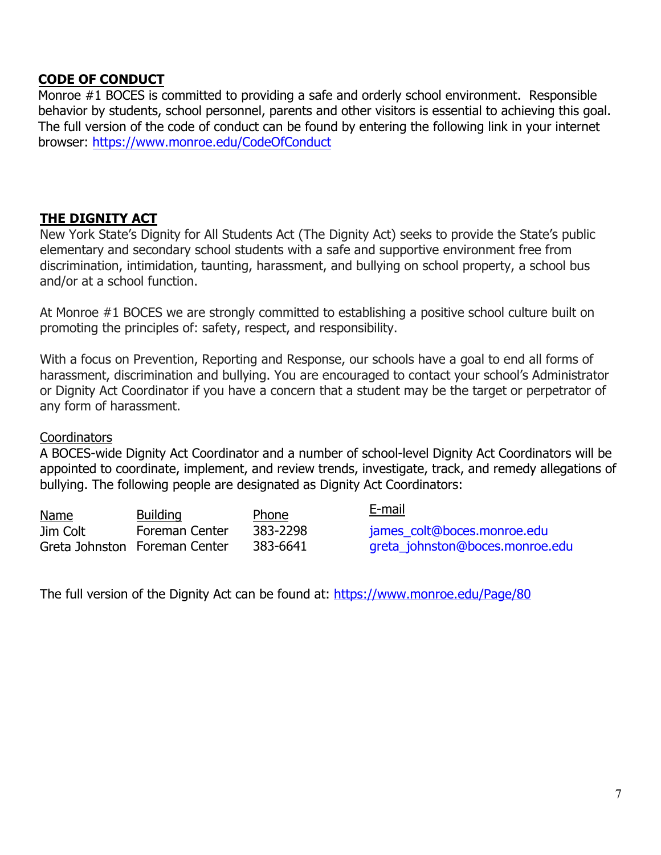## **CODE OF CONDUCT**

Monroe #1 BOCES is committed to providing a safe and orderly school environment. Responsible behavior by students, school personnel, parents and other visitors is essential to achieving this goal. The full version of the code of conduct can be found by entering the following link in your internet browser: https://www.monroe.edu/CodeOfConduct

#### **THE DIGNITY ACT**

New York State's Dignity for All Students Act (The Dignity Act) seeks to provide the State's public elementary and secondary school students with a safe and supportive environment free from discrimination, intimidation, taunting, harassment, and bullying on school property, a school bus and/or at a school function.

At Monroe #1 BOCES we are strongly committed to establishing a positive school culture built on promoting the principles of: safety, respect, and responsibility.

With a focus on Prevention, Reporting and Response, our schools have a goal to end all forms of harassment, discrimination and bullying. You are encouraged to contact your school's Administrator or Dignity Act Coordinator if you have a concern that a student may be the target or perpetrator of any form of harassment.

#### **Coordinators**

A BOCES-wide Dignity Act Coordinator and a number of school-level Dignity Act Coordinators will be appointed to coordinate, implement, and review trends, investigate, track, and remedy allegations of bullying. The following people are designated as Dignity Act Coordinators:

| <b>Name</b> | <b>Building</b>               | <b>Phone</b> | E-mail                          |
|-------------|-------------------------------|--------------|---------------------------------|
| Jim Colt    | <b>Foreman Center</b>         | 383-2298     | james_colt@boces.monroe.edu     |
|             | Greta Johnston Foreman Center | 383-6641     | greta_johnston@boces.monroe.edu |

The full version of the Dignity Act can be found at: https://www.monroe.edu/Page/80